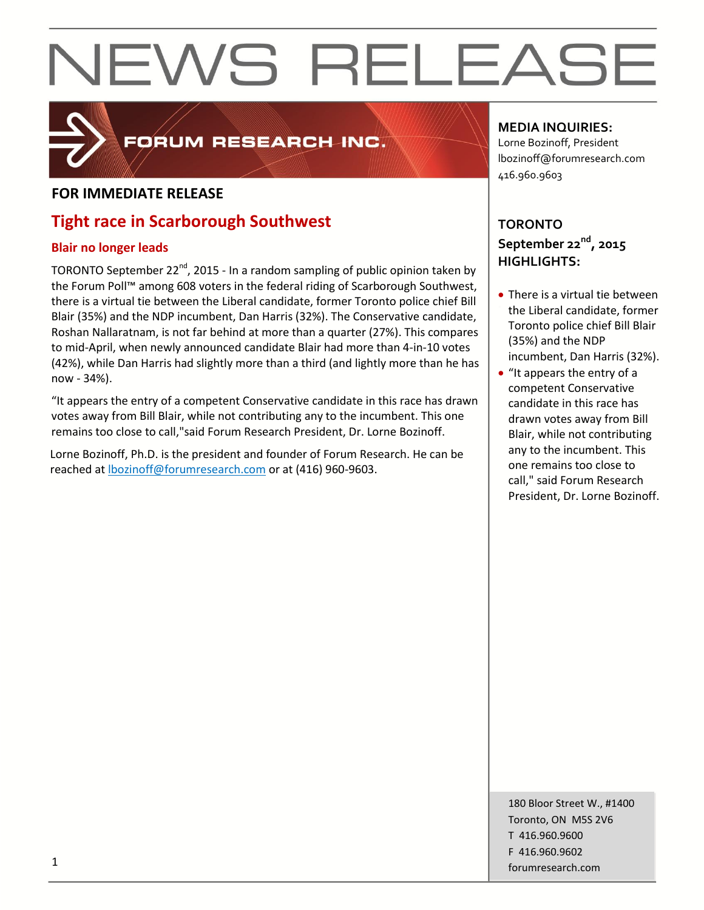

## FORUM RESEARCH INC.

### **FOR IMMEDIATE RELEASE**

## **Tight race in Scarborough Southwest**

### **Blair no longer leads**

TORONTO September 22<sup>nd</sup>, 2015 - In a random sampling of public opinion taken by the Forum Poll™ among 608 voters in the federal riding of Scarborough Southwest, there is a virtual tie between the Liberal candidate, former Toronto police chief Bill Blair (35%) and the NDP incumbent, Dan Harris (32%). The Conservative candidate, Roshan Nallaratnam, is not far behind at more than a quarter (27%). This compares to mid-April, when newly announced candidate Blair had more than 4-in-10 votes (42%), while Dan Harris had slightly more than a third (and lightly more than he has now - 34%).

"It appears the entry of a competent Conservative candidate in this race has drawn votes away from Bill Blair, while not contributing any to the incumbent. This one remains too close to call,"said Forum Research President, Dr. Lorne Bozinoff.

Lorne Bozinoff, Ph.D. is the president and founder of Forum Research. He can be reached at [lbozinoff@forumresearch.com](mailto:lbozinoff@forumresearch.com) or at (416) 960-9603.

### **MEDIA INQUIRIES:**

Lorne Bozinoff, President lbozinoff@forumresearch.com 416.960.9603

## **TORONTO September 22nd, 2015 HIGHLIGHTS:**

- There is a virtual tie between the Liberal candidate, former Toronto police chief Bill Blair (35%) and the NDP incumbent, Dan Harris (32%).
- "It appears the entry of a competent Conservative candidate in this race has drawn votes away from Bill Blair, while not contributing any to the incumbent. This one remains too close to call," said Forum Research President, Dr. Lorne Bozinoff.

180 Bloor Street W., #1400 Toronto, ON M5S 2V6 T 416.960.9600 F 416.960.9602 forumresearch.com 1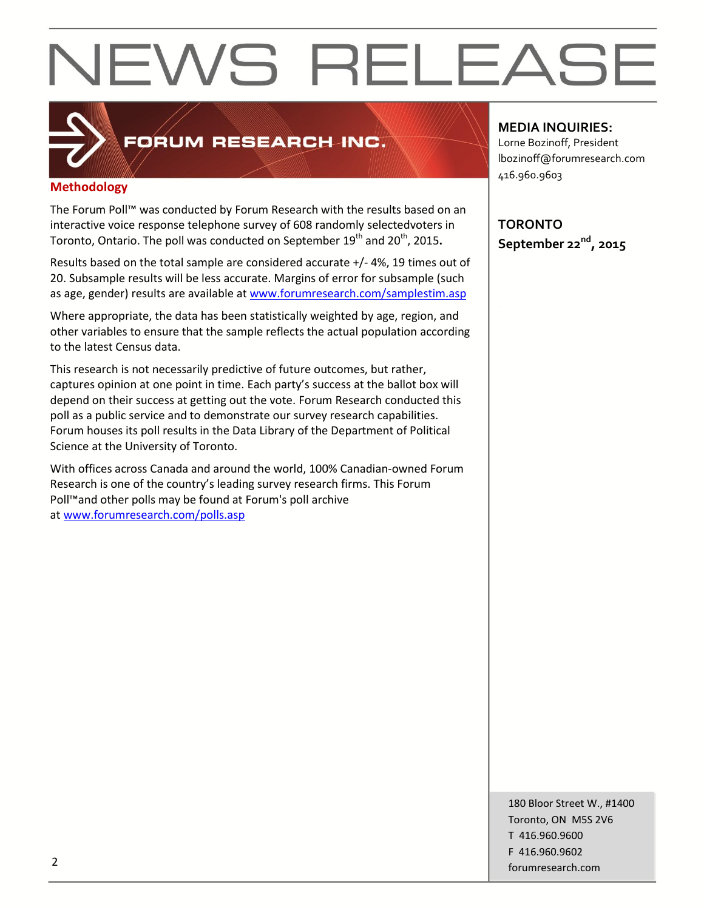

## FORUM RESEARCH INC.

### **Methodology**

The Forum Poll™ was conducted by Forum Research with the results based on an interactive voice response telephone survey of 608 randomly selectedvoters in Toronto, Ontario. The poll was conducted on September 19<sup>th</sup> and 20<sup>th</sup>, 2015**.** 

Results based on the total sample are considered accurate +/- 4%, 19 times out of 20. Subsample results will be less accurate. Margins of error for subsample (such as age, gender) results are available at [www.forumresearch.com/samplestim.asp](http://www.forumresearch.com/samplestim.asp)

Where appropriate, the data has been statistically weighted by age, region, and other variables to ensure that the sample reflects the actual population according to the latest Census data.

This research is not necessarily predictive of future outcomes, but rather, captures opinion at one point in time. Each party's success at the ballot box will depend on their success at getting out the vote. Forum Research conducted this poll as a public service and to demonstrate our survey research capabilities. Forum houses its poll results in the Data Library of the Department of Political Science at the University of Toronto.

With offices across Canada and around the world, 100% Canadian-owned Forum Research is one of the country's leading survey research firms. This Forum Poll™and other polls may be found at Forum's poll archive at [www.forumresearch.com/polls.asp](http://www.forumresearch.com/polls.asp)

**MEDIA INQUIRIES:**

Lorne Bozinoff, President lbozinoff@forumresearch.com 416.960.9603

**TORONTO September 22nd, 2015**

180 Bloor Street W., #1400 Toronto, ON M5S 2V6 T 416.960.9600 F 416.960.9602 example to the contract of the contract of the contract of the contract of the contract of the contract of the contract of the contract of the contract of the contract of the contract of the contract of the contract of the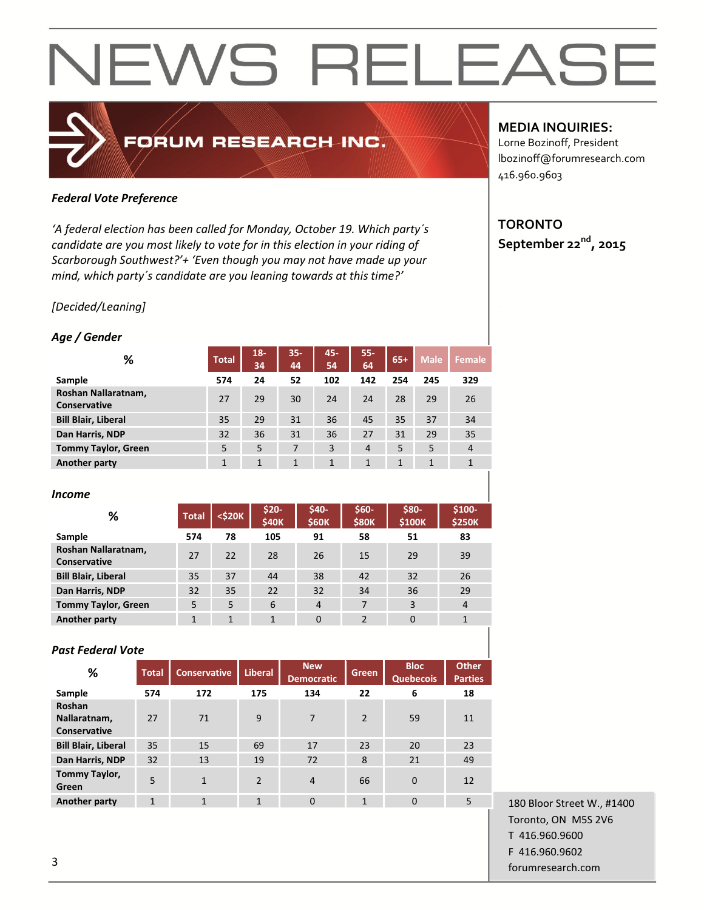### *Federal Vote Preference*

*'A federal election has been called for Monday, October 19. Which party´s candidate are you most likely to vote for in this election in your riding of Scarborough Southwest?'+ 'Even though you may not have made up your mind, which party´s candidate are you leaning towards at this time?'*

FORUM RESEARCH INC.

#### *[Decided/Leaning]*

#### *Age / Gender*

| %                                   | <b>Total</b> | $18-$<br>34 | $35 -$<br>44 | 45-<br>54    | 55-<br>64      | $65+$        | <b>Male</b> | Female         |
|-------------------------------------|--------------|-------------|--------------|--------------|----------------|--------------|-------------|----------------|
| Sample                              | 574          | 24          | 52           | 102          | 142            | 254          | 245         | 329            |
| Roshan Nallaratnam,<br>Conservative | 27           | 29          | 30           | 24           | 24             | 28           | 29          | 26             |
| <b>Bill Blair, Liberal</b>          | 35           | 29          | 31           | 36           | 45             | 35           | 37          | 34             |
| Dan Harris, NDP                     | 32           | 36          | 31           | 36           | 27             | 31           | 29          | 35             |
| <b>Tommy Taylor, Green</b>          | 5            | 5           | 7            | 3            | $\overline{4}$ | 5            | 5           | $\overline{4}$ |
| <b>Another party</b>                | 1            | 1           | 1            | $\mathbf{1}$ | 1              | $\mathbf{1}$ | 1           | $\mathbf{1}$   |

#### *Income*

| %                                          | <b>Total</b> | $<$ \$20 $K$ | \$20-<br><b>\$40K</b> | \$40-<br><b>\$60K</b> | $$60-$<br><b>\$80K</b> | \$80-<br>\$100K | \$100-<br><b>\$250K</b> |
|--------------------------------------------|--------------|--------------|-----------------------|-----------------------|------------------------|-----------------|-------------------------|
| Sample                                     | 574          | 78           | 105                   | 91                    | 58                     | 51              | 83                      |
| Roshan Nallaratnam,<br><b>Conservative</b> | 27           | 22           | 28                    | 26                    | 15                     | 29              | 39                      |
| <b>Bill Blair, Liberal</b>                 | 35           | 37           | 44                    | 38                    | 42                     | 32              | 26                      |
| Dan Harris, NDP                            | 32           | 35           | 22                    | 32                    | 34                     | 36              | 29                      |
| <b>Tommy Taylor, Green</b>                 | 5            | 5            | 6                     | $\overline{4}$        | 7                      | 3               | $\overline{4}$          |
| <b>Another party</b>                       | 1            | $\mathbf{1}$ | $\mathbf{1}$          | $\Omega$              | $\overline{2}$         | $\Omega$        | 1                       |

#### *Past Federal Vote*

| %                                      | <b>Total</b> | <b>Conservative</b> | <b>Liberal</b> | <b>New</b><br><b>Democratic</b> | <b>Green</b>   | <b>Bloc</b><br><b>Quebecois</b> | <b>Other</b><br><b>Parties</b> |
|----------------------------------------|--------------|---------------------|----------------|---------------------------------|----------------|---------------------------------|--------------------------------|
| Sample                                 | 574          | 172                 | 175            | 134                             | 22             | 6                               | 18                             |
| Roshan<br>Nallaratnam,<br>Conservative | 27           | 71                  | 9              | 7                               | $\overline{2}$ | 59                              | 11                             |
| <b>Bill Blair, Liberal</b>             | 35           | 15                  | 69             | 17                              | 23             | 20                              | 23                             |
| Dan Harris, NDP                        | 32           | 13                  | 19             | 72                              | 8              | 21                              | 49                             |
| Tommy Taylor,<br>Green                 | 5            | $\mathbf{1}$        | $\overline{2}$ | $\overline{4}$                  | 66             | $\Omega$                        | 12                             |
| <b>Another party</b>                   | 1            | 1                   | 1              | $\mathbf 0$                     | 1              | $\Omega$                        | 5                              |

180 Bloor Street W., #1400 Toronto, ON M5S 2V6 T 416.960.9600 F 416.960.9602 for the contract of the contract of the contract of the contract of the contract of the contract of the contract of the contract of the contract of the contract of the contract of the contract of the contract of the contra

### **MEDIA INQUIRIES:**

Lorne Bozinoff, President lbozinoff@forumresearch.com 416.960.9603

### **TORONTO September 22nd, 2015**